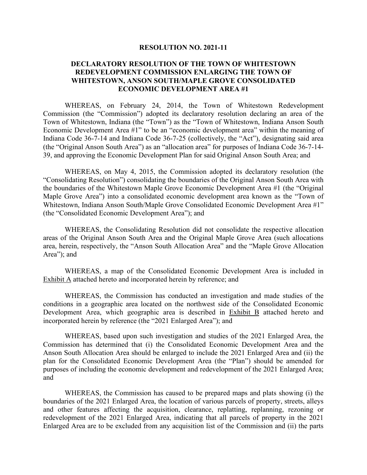#### **RESOLUTION NO. 2021-11**

### **DECLARATORY RESOLUTION OF THE TOWN OF WHITESTOWN REDEVELOPMENT COMMISSION ENLARGING THE TOWN OF WHITESTOWN, ANSON SOUTH/MAPLE GROVE CONSOLIDATED ECONOMIC DEVELOPMENT AREA #1**

WHEREAS, on February 24, 2014, the Town of Whitestown Redevelopment Commission (the "Commission") adopted its declaratory resolution declaring an area of the Town of Whitestown, Indiana (the "Town") as the "Town of Whitestown, Indiana Anson South Economic Development Area #1" to be an "economic development area" within the meaning of Indiana Code 36-7-14 and Indiana Code 36-7-25 (collectively, the "Act"), designating said area (the "Original Anson South Area") as an "allocation area" for purposes of Indiana Code 36-7-14- 39, and approving the Economic Development Plan for said Original Anson South Area; and

WHEREAS, on May 4, 2015, the Commission adopted its declaratory resolution (the "Consolidating Resolution") consolidating the boundaries of the Original Anson South Area with the boundaries of the Whitestown Maple Grove Economic Development Area #1 (the "Original Maple Grove Area") into a consolidated economic development area known as the "Town of Whitestown, Indiana Anson South/Maple Grove Consolidated Economic Development Area #1" (the "Consolidated Economic Development Area"); and

WHEREAS, the Consolidating Resolution did not consolidate the respective allocation areas of the Original Anson South Area and the Original Maple Grove Area (such allocations area, herein, respectively, the "Anson South Allocation Area" and the "Maple Grove Allocation Area"); and

WHEREAS, a map of the Consolidated Economic Development Area is included in Exhibit A attached hereto and incorporated herein by reference; and

WHEREAS, the Commission has conducted an investigation and made studies of the conditions in a geographic area located on the northwest side of the Consolidated Economic Development Area, which geographic area is described in Exhibit B attached hereto and incorporated herein by reference (the "2021 Enlarged Area"); and

WHEREAS, based upon such investigation and studies of the 2021 Enlarged Area, the Commission has determined that (i) the Consolidated Economic Development Area and the Anson South Allocation Area should be enlarged to include the 2021 Enlarged Area and (ii) the plan for the Consolidated Economic Development Area (the "Plan") should be amended for purposes of including the economic development and redevelopment of the 2021 Enlarged Area; and

WHEREAS, the Commission has caused to be prepared maps and plats showing (i) the boundaries of the 2021 Enlarged Area, the location of various parcels of property, streets, alleys and other features affecting the acquisition, clearance, replatting, replanning, rezoning or redevelopment of the 2021 Enlarged Area, indicating that all parcels of property in the 2021 Enlarged Area are to be excluded from any acquisition list of the Commission and (ii) the parts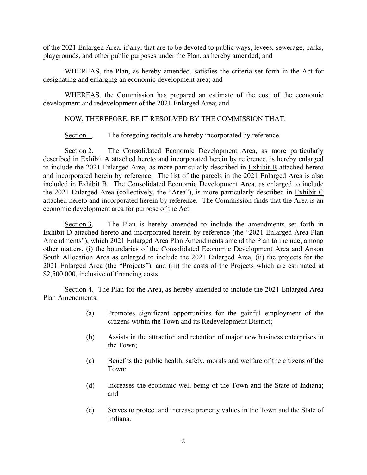of the 2021 Enlarged Area, if any, that are to be devoted to public ways, levees, sewerage, parks, playgrounds, and other public purposes under the Plan, as hereby amended; and

WHEREAS, the Plan, as hereby amended, satisfies the criteria set forth in the Act for designating and enlarging an economic development area; and

WHEREAS, the Commission has prepared an estimate of the cost of the economic development and redevelopment of the 2021 Enlarged Area; and

### NOW, THEREFORE, BE IT RESOLVED BY THE COMMISSION THAT:

Section 1. The foregoing recitals are hereby incorporated by reference.

Section 2. The Consolidated Economic Development Area, as more particularly described in Exhibit A attached hereto and incorporated herein by reference, is hereby enlarged to include the 2021 Enlarged Area, as more particularly described in Exhibit B attached hereto and incorporated herein by reference. The list of the parcels in the 2021 Enlarged Area is also included in Exhibit B. The Consolidated Economic Development Area, as enlarged to include the 2021 Enlarged Area (collectively, the "Area"), is more particularly described in Exhibit C attached hereto and incorporated herein by reference. The Commission finds that the Area is an economic development area for purpose of the Act.

Section 3. The Plan is hereby amended to include the amendments set forth in Exhibit D attached hereto and incorporated herein by reference (the "2021 Enlarged Area Plan Amendments"), which 2021 Enlarged Area Plan Amendments amend the Plan to include, among other matters, (i) the boundaries of the Consolidated Economic Development Area and Anson South Allocation Area as enlarged to include the 2021 Enlarged Area, (ii) the projects for the 2021 Enlarged Area (the "Projects"), and (iii) the costs of the Projects which are estimated at \$2,500,000, inclusive of financing costs.

Section 4. The Plan for the Area, as hereby amended to include the 2021 Enlarged Area Plan Amendments:

- (a) Promotes significant opportunities for the gainful employment of the citizens within the Town and its Redevelopment District;
- (b) Assists in the attraction and retention of major new business enterprises in the Town;
- (c) Benefits the public health, safety, morals and welfare of the citizens of the Town;
- (d) Increases the economic well-being of the Town and the State of Indiana; and
- (e) Serves to protect and increase property values in the Town and the State of Indiana.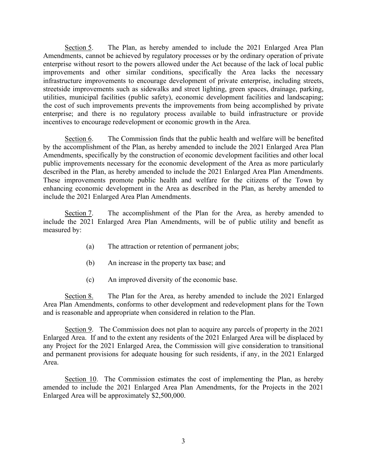Section 5. The Plan, as hereby amended to include the 2021 Enlarged Area Plan Amendments, cannot be achieved by regulatory processes or by the ordinary operation of private enterprise without resort to the powers allowed under the Act because of the lack of local public improvements and other similar conditions, specifically the Area lacks the necessary infrastructure improvements to encourage development of private enterprise, including streets, streetside improvements such as sidewalks and street lighting, green spaces, drainage, parking, utilities, municipal facilities (public safety), economic development facilities and landscaping; the cost of such improvements prevents the improvements from being accomplished by private enterprise; and there is no regulatory process available to build infrastructure or provide incentives to encourage redevelopment or economic growth in the Area.

Section 6. The Commission finds that the public health and welfare will be benefited by the accomplishment of the Plan, as hereby amended to include the 2021 Enlarged Area Plan Amendments, specifically by the construction of economic development facilities and other local public improvements necessary for the economic development of the Area as more particularly described in the Plan, as hereby amended to include the 2021 Enlarged Area Plan Amendments. These improvements promote public health and welfare for the citizens of the Town by enhancing economic development in the Area as described in the Plan, as hereby amended to include the 2021 Enlarged Area Plan Amendments.

Section 7. The accomplishment of the Plan for the Area, as hereby amended to include the 2021 Enlarged Area Plan Amendments, will be of public utility and benefit as measured by:

- (a) The attraction or retention of permanent jobs;
- (b) An increase in the property tax base; and
- (c) An improved diversity of the economic base.

Section 8. The Plan for the Area, as hereby amended to include the 2021 Enlarged Area Plan Amendments, conforms to other development and redevelopment plans for the Town and is reasonable and appropriate when considered in relation to the Plan.

Section 9. The Commission does not plan to acquire any parcels of property in the 2021 Enlarged Area. If and to the extent any residents of the 2021 Enlarged Area will be displaced by any Project for the 2021 Enlarged Area, the Commission will give consideration to transitional and permanent provisions for adequate housing for such residents, if any, in the 2021 Enlarged Area.

Section 10. The Commission estimates the cost of implementing the Plan, as hereby amended to include the 2021 Enlarged Area Plan Amendments, for the Projects in the 2021 Enlarged Area will be approximately \$2,500,000.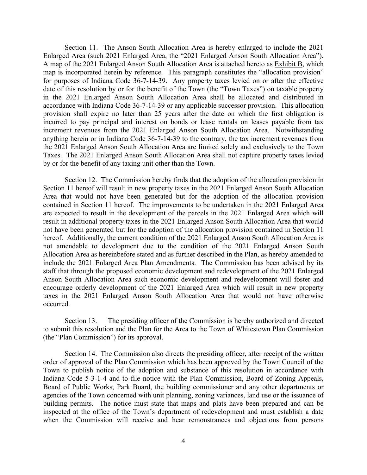Section 11. The Anson South Allocation Area is hereby enlarged to include the 2021 Enlarged Area (such 2021 Enlarged Area, the "2021 Enlarged Anson South Allocation Area"). A map of the 2021 Enlarged Anson South Allocation Area is attached hereto as Exhibit B, which map is incorporated herein by reference. This paragraph constitutes the "allocation provision" for purposes of Indiana Code 36-7-14-39. Any property taxes levied on or after the effective date of this resolution by or for the benefit of the Town (the "Town Taxes") on taxable property in the 2021 Enlarged Anson South Allocation Area shall be allocated and distributed in accordance with Indiana Code 36-7-14-39 or any applicable successor provision. This allocation provision shall expire no later than 25 years after the date on which the first obligation is incurred to pay principal and interest on bonds or lease rentals on leases payable from tax increment revenues from the 2021 Enlarged Anson South Allocation Area. Notwithstanding anything herein or in Indiana Code 36-7-14-39 to the contrary, the tax increment revenues from the 2021 Enlarged Anson South Allocation Area are limited solely and exclusively to the Town Taxes. The 2021 Enlarged Anson South Allocation Area shall not capture property taxes levied by or for the benefit of any taxing unit other than the Town.

Section 12. The Commission hereby finds that the adoption of the allocation provision in Section 11 hereof will result in new property taxes in the 2021 Enlarged Anson South Allocation Area that would not have been generated but for the adoption of the allocation provision contained in Section 11 hereof. The improvements to be undertaken in the 2021 Enlarged Area are expected to result in the development of the parcels in the 2021 Enlarged Area which will result in additional property taxes in the 2021 Enlarged Anson South Allocation Area that would not have been generated but for the adoption of the allocation provision contained in Section 11 hereof. Additionally, the current condition of the 2021 Enlarged Anson South Allocation Area is not amendable to development due to the condition of the 2021 Enlarged Anson South Allocation Area as hereinbefore stated and as further described in the Plan, as hereby amended to include the 2021 Enlarged Area Plan Amendments. The Commission has been advised by its staff that through the proposed economic development and redevelopment of the 2021 Enlarged Anson South Allocation Area such economic development and redevelopment will foster and encourage orderly development of the 2021 Enlarged Area which will result in new property taxes in the 2021 Enlarged Anson South Allocation Area that would not have otherwise occurred.

Section 13. The presiding officer of the Commission is hereby authorized and directed to submit this resolution and the Plan for the Area to the Town of Whitestown Plan Commission (the "Plan Commission") for its approval.

Section 14. The Commission also directs the presiding officer, after receipt of the written order of approval of the Plan Commission which has been approved by the Town Council of the Town to publish notice of the adoption and substance of this resolution in accordance with Indiana Code 5-3-1-4 and to file notice with the Plan Commission, Board of Zoning Appeals, Board of Public Works, Park Board, the building commissioner and any other departments or agencies of the Town concerned with unit planning, zoning variances, land use or the issuance of building permits. The notice must state that maps and plats have been prepared and can be inspected at the office of the Town's department of redevelopment and must establish a date when the Commission will receive and hear remonstrances and objections from persons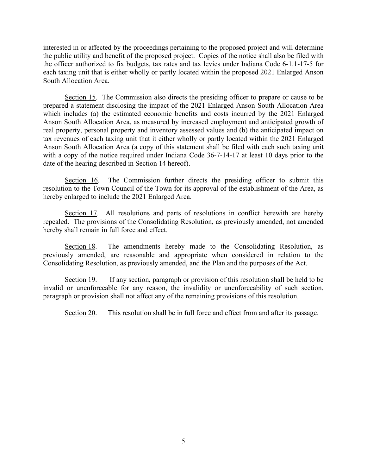interested in or affected by the proceedings pertaining to the proposed project and will determine the public utility and benefit of the proposed project. Copies of the notice shall also be filed with the officer authorized to fix budgets, tax rates and tax levies under Indiana Code 6-1.1-17-5 for each taxing unit that is either wholly or partly located within the proposed 2021 Enlarged Anson South Allocation Area.

Section 15. The Commission also directs the presiding officer to prepare or cause to be prepared a statement disclosing the impact of the 2021 Enlarged Anson South Allocation Area which includes (a) the estimated economic benefits and costs incurred by the 2021 Enlarged Anson South Allocation Area, as measured by increased employment and anticipated growth of real property, personal property and inventory assessed values and (b) the anticipated impact on tax revenues of each taxing unit that it either wholly or partly located within the 2021 Enlarged Anson South Allocation Area (a copy of this statement shall be filed with each such taxing unit with a copy of the notice required under Indiana Code 36-7-14-17 at least 10 days prior to the date of the hearing described in Section 14 hereof).

Section 16. The Commission further directs the presiding officer to submit this resolution to the Town Council of the Town for its approval of the establishment of the Area, as hereby enlarged to include the 2021 Enlarged Area.

Section 17. All resolutions and parts of resolutions in conflict herewith are hereby repealed. The provisions of the Consolidating Resolution, as previously amended, not amended hereby shall remain in full force and effect.

Section 18. The amendments hereby made to the Consolidating Resolution, as previously amended, are reasonable and appropriate when considered in relation to the Consolidating Resolution, as previously amended, and the Plan and the purposes of the Act.

Section 19. If any section, paragraph or provision of this resolution shall be held to be invalid or unenforceable for any reason, the invalidity or unenforceability of such section, paragraph or provision shall not affect any of the remaining provisions of this resolution.

Section 20. This resolution shall be in full force and effect from and after its passage.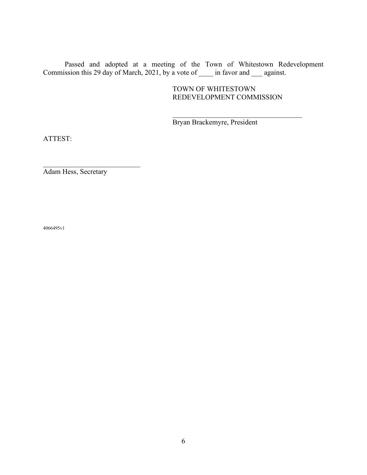Passed and adopted at a meeting of the Town of Whitestown Redevelopment Commission this 29 day of March, 2021, by a vote of \_\_\_\_ in favor and \_\_\_ against.

## TOWN OF WHITESTOWN REDEVELOPMENT COMMISSION

 $\mathcal{L}_\mathcal{L}$  , which is a set of the set of the set of the set of the set of the set of the set of the set of the set of the set of the set of the set of the set of the set of the set of the set of the set of the set of

Bryan Brackemyre, President

ATTEST:

Adam Hess, Secretary

4066495v1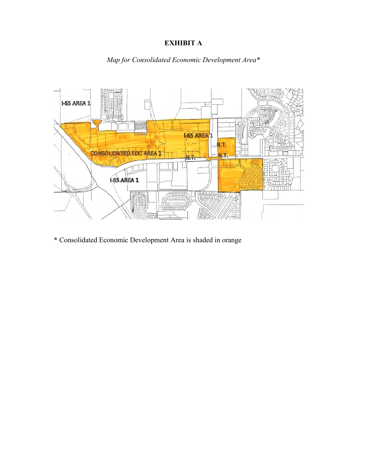# **EXHIBIT A**

# *Map for Consolidated Economic Development Area\**



\* Consolidated Economic Development Area is shaded in orange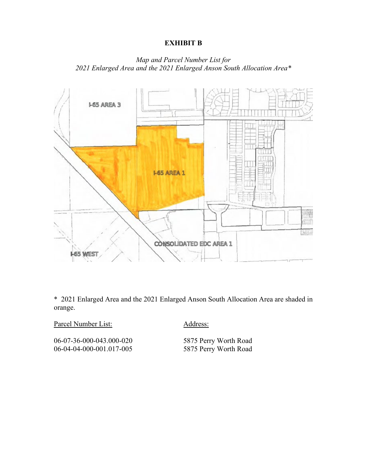### **EXHIBIT B**

*Map and Parcel Number List for 2021 Enlarged Area and the 2021 Enlarged Anson South Allocation Area\**



\* 2021 Enlarged Area and the 2021 Enlarged Anson South Allocation Area are shaded in orange.

Parcel Number List: Address:

06-07-36-000-043.000-020 5875 Perry Worth Road<br>06-04-04-000-001.017-005 5875 Perry Worth Road 06-04-04-000-001.017-005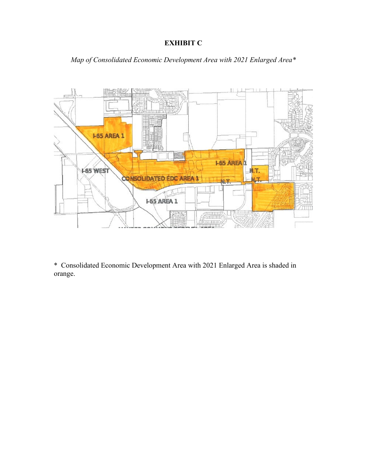## **EXHIBIT C**

*Map of Consolidated Economic Development Area with 2021 Enlarged Area\**



\* Consolidated Economic Development Area with 2021 Enlarged Area is shaded in orange.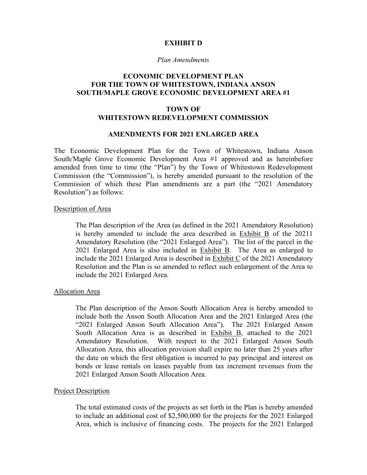#### **EXHIBIT D**

#### *Plan Amendments*

### **ECONOMIC DEVELOPMENT PLAN FOR THE TOWN OF WHITESTOWN, INDIANA ANSON SOUTH/MAPLE GROVE ECONOMIC DEVELOPMENT AREA #1**

### **TOWN OF WHITESTOWN REDEVELOPMENT COMMISSION**

#### **AMENDMENTS FOR 2021 ENLARGED AREA**

The Economic Development Plan for the Town of Whitestown, Indiana Anson South/Maple Grove Economic Development Area #1 approved and as hereinbefore amended from time to time (the "Plan") by the Town of Whitestown Redevelopment Commission (the "Commission"), is hereby amended pursuant to the resolution of the Commission of which these Plan amendments are a part (the "2021 Amendatory Resolution") as follows:

#### Description of Area

The Plan description of the Area (as defined in the 2021 Amendatory Resolution) is hereby amended to include the area described in Exhibit B of the 20211 Amendatory Resolution (the "2021 Enlarged Area"). The list of the parcel in the 2021 Enlarged Area is also included in Exhibit B. The Area as enlarged to include the 2021 Enlarged Area is described in Exhibit C of the 2021 Amendatory Resolution and the Plan is so amended to reflect such enlargement of the Area to include the 2021 Enlarged Area.

#### Allocation Area

The Plan description of the Anson South Allocation Area is hereby amended to include both the Anson South Allocation Area and the 2021 Enlarged Area (the "2021 Enlarged Anson South Allocation Area"). The 2021 Enlarged Anson South Allocation Area is as described in Exhibit B, attached to the 2021 Amendatory Resolution. With respect to the 2021 Enlarged Anson South Allocation Area, this allocation provision shall expire no later than 25 years after the date on which the first obligation is incurred to pay principal and interest on bonds or lease rentals on leases payable from tax increment revenues from the 2021 Enlarged Anson South Allocation Area.

#### Project Description

The total estimated costs of the projects as set forth in the Plan is hereby amended to include an additional cost of \$2,500,000 for the projects for the 2021 Enlarged Area, which is inclusive of financing costs. The projects for the 2021 Enlarged